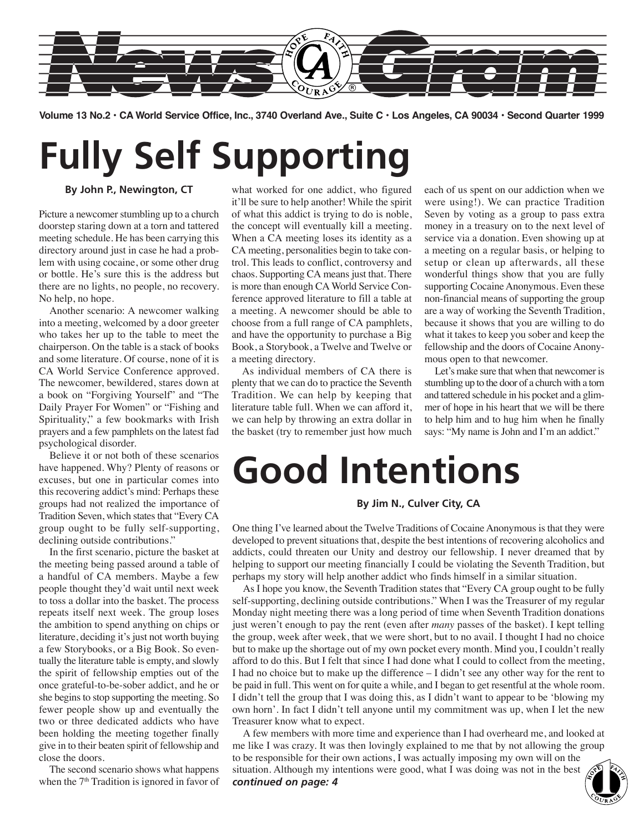

**Volume 13 No.2 • CA World Service Office, Inc., 3740 Overland Ave., Suite C • Los Angeles, CA 90034 • Second Quarter 1999**

# **Fully Self Supporting**

**By John P., Newington, CT**

Picture a newcomer stumbling up to a church doorstep staring down at a torn and tattered meeting schedule. He has been carrying this directory around just in case he had a problem with using cocaine, or some other drug or bottle. He's sure this is the address but there are no lights, no people, no recovery. No help, no hope.

Another scenario: A newcomer walking into a meeting, welcomed by a door greeter who takes her up to the table to meet the chairperson. On the table is a stack of books and some literature. Of course, none of it is CA World Service Conference approved. The newcomer, bewildered, stares down at a book on "Forgiving Yourself" and "The Daily Prayer For Women" or "Fishing and Spirituality," a few bookmarks with Irish prayers and a few pamphlets on the latest fad psychological disorder.

Believe it or not both of these scenarios have happened. Why? Plenty of reasons or excuses, but one in particular comes into this recovering addict's mind: Perhaps these groups had not realized the importance of Tradition Seven, which states that "Every CA group ought to be fully self-supporting, declining outside contributions."

In the first scenario, picture the basket at the meeting being passed around a table of a handful of CA members. Maybe a few people thought they'd wait until next week to toss a dollar into the basket. The process repeats itself next week. The group loses the ambition to spend anything on chips or literature, deciding it's just not worth buying a few Storybooks, or a Big Book. So eventually the literature table is empty, and slowly the spirit of fellowship empties out of the once grateful-to-be-sober addict, and he or she begins to stop supporting the meeting. So fewer people show up and eventually the two or three dedicated addicts who have been holding the meeting together finally give in to their beaten spirit of fellowship and close the doors.

The second scenario shows what happens when the  $7<sup>th</sup>$  Tradition is ignored in favor of

what worked for one addict, who figured it'll be sure to help another! While the spirit of what this addict is trying to do is noble, the concept will eventually kill a meeting. When a CA meeting loses its identity as a CA meeting, personalities begin to take control. This leads to conflict, controversy and chaos. Supporting CA means just that. There is more than enough CA World Service Conference approved literature to fill a table at a meeting. A newcomer should be able to choose from a full range of CA pamphlets, and have the opportunity to purchase a Big Book, a Storybook, a Twelve and Twelve or a meeting directory.

As individual members of CA there is plenty that we can do to practice the Seventh Tradition. We can help by keeping that literature table full. When we can afford it, we can help by throwing an extra dollar in the basket (try to remember just how much

each of us spent on our addiction when we were using!). We can practice Tradition Seven by voting as a group to pass extra money in a treasury on to the next level of service via a donation. Even showing up at a meeting on a regular basis, or helping to setup or clean up afterwards, all these wonderful things show that you are fully supporting Cocaine Anonymous. Even these non-financial means of supporting the group are a way of working the Seventh Tradition, because it shows that you are willing to do what it takes to keep you sober and keep the fellowship and the doors of Cocaine Anonymous open to that newcomer.

Let's make sure that when that newcomer is stumbling up to the door of a church with a torn and tattered schedule in his pocket and a glimmer of hope in his heart that we will be there to help him and to hug him when he finally says: "My name is John and I'm an addict."

# **Good Intentions**

### **By Jim N., Culver City, CA**

One thing I've learned about the Twelve Traditions of Cocaine Anonymous is that they were developed to prevent situations that, despite the best intentions of recovering alcoholics and addicts, could threaten our Unity and destroy our fellowship. I never dreamed that by helping to support our meeting financially I could be violating the Seventh Tradition, but perhaps my story will help another addict who finds himself in a similar situation.

As I hope you know, the Seventh Tradition states that "Every CA group ought to be fully self-supporting, declining outside contributions." When I was the Treasurer of my regular Monday night meeting there was a long period of time when Seventh Tradition donations just weren't enough to pay the rent (even after *many* passes of the basket). I kept telling the group, week after week, that we were short, but to no avail. I thought I had no choice but to make up the shortage out of my own pocket every month. Mind you, I couldn't really afford to do this. But I felt that since I had done what I could to collect from the meeting, I had no choice but to make up the difference – I didn't see any other way for the rent to be paid in full. This went on for quite a while, and I began to get resentful at the whole room. I didn't tell the group that I was doing this, as I didn't want to appear to be 'blowing my own horn'. In fact I didn't tell anyone until my commitment was up, when I let the new Treasurer know what to expect.

A few members with more time and experience than I had overheard me, and looked at me like I was crazy. It was then lovingly explained to me that by not allowing the group to be responsible for their own actions, I was actually imposing my own will on the situation. Although my intentions were good, what I was doing was not in the best to be responsible for their own actions, I was actually imposing my own will on the situation. Although my intentions were good, what I was doing was not in the best **continued on page: 4** 

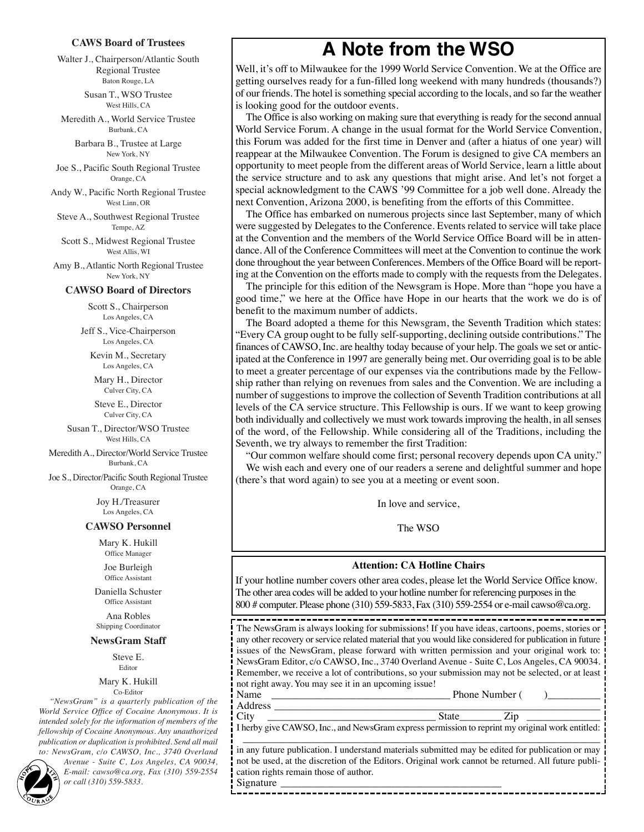#### **CAWS Board of Trustees**

Walter J., Chairperson/Atlantic South Regional Trustee Baton Rouge, LA

> Susan T., WSO Trustee West Hills, CA

Meredith A., World Service Trustee Burbank, CA

> Barbara B., Trustee at Large New York, NY

Joe S., Pacific South Regional Trustee Orange, CA

Andy W., Pacific North Regional Trustee West Linn, OR

Steve A., Southwest Regional Trustee Tempe, AZ

Scott S., Midwest Regional Trustee West Allis, WI

Amy B., Atlantic North Regional Trustee New York, NY

#### **CAWSO Board of Directors**

Scott S., Chairperson Los Angeles, CA

Jeff S., Vice-Chairperson Los Angeles, CA

Kevin M., Secretary Los Angeles, CA

Mary H., Director Culver City, CA

Steve E., Director Culver City, CA

Susan T., Director/WSO Trustee West Hills, CA

Meredith A., Director/World Service Trustee Burbank, CA

Joe S., Director/Pacific South Regional Trustee Orange, CA

> Joy H./Treasurer Los Angeles, CA

#### **CAWSO Personnel**

Mary K. Hukill Office Manager

Joe Burleigh Office Assistant

Daniella Schuster Office Assistant

Ana Robles Shipping Coordinator

#### **NewsGram Staff**

Steve E. **Editor** 

#### Mary K. Hukill Co-Editor

*"NewsGram" is a quarterly publication of the World Service Office of Cocaine Anonymous. It is intended solely for the information of members of the fellowship of Cocaine Anonymous. Any unauthorized publication or duplication is prohibited. Send all mail to: NewsGram, c/o CAWSO, Inc., 3740 Overland*

*Avenue - Suite C, Los Angeles, CA 90034, E-mail: cawso@ca.org, Fax (310) 559-2554* **2** *or call (310) 559-5833.*

### **A Note from the WSO**

Well, it's off to Milwaukee for the 1999 World Service Convention. We at the Office are getting ourselves ready for a fun-filled long weekend with many hundreds (thousands?) of our friends. The hotel is something special according to the locals, and so far the weather is looking good for the outdoor events.

The Office is also working on making sure that everything is ready for the second annual World Service Forum. A change in the usual format for the World Service Convention, this Forum was added for the first time in Denver and (after a hiatus of one year) will reappear at the Milwaukee Convention. The Forum is designed to give CA members an opportunity to meet people from the different areas of World Service, learn a little about the service structure and to ask any questions that might arise. And let's not forget a special acknowledgment to the CAWS '99 Committee for a job well done. Already the next Convention, Arizona 2000, is benefiting from the efforts of this Committee.

The Office has embarked on numerous projects since last September, many of which were suggested by Delegates to the Conference. Events related to service will take place at the Convention and the members of the World Service Office Board will be in attendance. All of the Conference Committees will meet at the Convention to continue the work done throughout the year between Conferences. Members of the Office Board will be reporting at the Convention on the efforts made to comply with the requests from the Delegates.

The principle for this edition of the Newsgram is Hope. More than "hope you have a good time," we here at the Office have Hope in our hearts that the work we do is of benefit to the maximum number of addicts.

The Board adopted a theme for this Newsgram, the Seventh Tradition which states: "Every CA group ought to be fully self-supporting, declining outside contributions." The finances of CAWSO, Inc. are healthy today because of your help. The goals we set or anticipated at the Conference in 1997 are generally being met. Our overriding goal is to be able to meet a greater percentage of our expenses via the contributions made by the Fellowship rather than relying on revenues from sales and the Convention. We are including a number of suggestions to improve the collection of Seventh Tradition contributions at all levels of the CA service structure. This Fellowship is ours. If we want to keep growing both individually and collectively we must work towards improving the health, in all senses of the word, of the Fellowship. While considering all of the Traditions, including the Seventh, we try always to remember the first Tradition:

"Our common welfare should come first; personal recovery depends upon CA unity." We wish each and every one of our readers a serene and delightful summer and hope (there's that word again) to see you at a meeting or event soon.

In love and service,

The WSO

#### **Attention: CA Hotline Chairs**

If your hotline number covers other area codes, please let the World Service Office know. The other area codes will be added to your hotline number for referencing purposes in the 800 # computer. Please phone (310) 559-5833, Fax (310) 559-2554 or e-mail cawso@ca.org.

The NewsGram is always looking for submissions! If you have ideas, cartoons, poems, stories or any other recovery or service related material that you would like considered for publication in future issues of the NewsGram, please forward with written permission and your original work to: NewsGram Editor, c/o CAWSO, Inc., 3740 Overland Avenue - Suite C, Los Angeles, CA 90034. Remember, we receive a lot of contributions, so your submission may not be selected, or at least not right away. You may see it in an upcoming issue!

Name \_\_\_\_\_\_\_\_\_\_\_\_\_\_\_\_\_\_\_\_\_\_\_\_\_\_\_\_\_\_\_\_\_\_ Phone Number ( )\_\_\_\_\_\_\_\_\_\_ Address \_\_\_\_\_\_\_\_\_\_\_\_\_\_\_\_\_\_\_\_\_\_\_\_\_\_\_\_\_\_\_\_\_\_\_\_\_\_\_\_\_\_\_\_\_\_\_\_\_\_\_\_\_\_\_\_\_\_\_\_\_\_

City \_\_\_\_\_\_\_\_\_\_\_\_\_\_\_\_\_\_\_\_\_\_\_\_\_\_\_\_\_\_\_\_ State\_\_\_\_\_\_\_\_ Zip \_\_\_\_\_\_\_\_\_\_\_\_\_\_ I herby give CAWSO, Inc., and NewsGram express permission to reprint my original work entitled: \_\_\_\_\_\_\_\_\_\_\_\_\_\_\_\_\_\_\_\_\_\_\_\_\_\_\_\_\_\_\_\_\_\_\_\_\_\_\_\_\_\_\_\_\_\_\_\_\_\_\_\_\_\_\_\_\_\_\_\_\_\_\_\_\_\_\_\_

in any future publication. I understand materials submitted may be edited for publication or may not be used, at the discretion of the Editors. Original work cannot be returned. All future publication rights remain those of author. Signature \_\_\_\_\_\_\_\_\_\_\_\_\_\_\_\_\_\_\_\_\_\_\_\_\_\_\_\_\_\_\_\_\_\_\_\_\_\_\_\_\_\_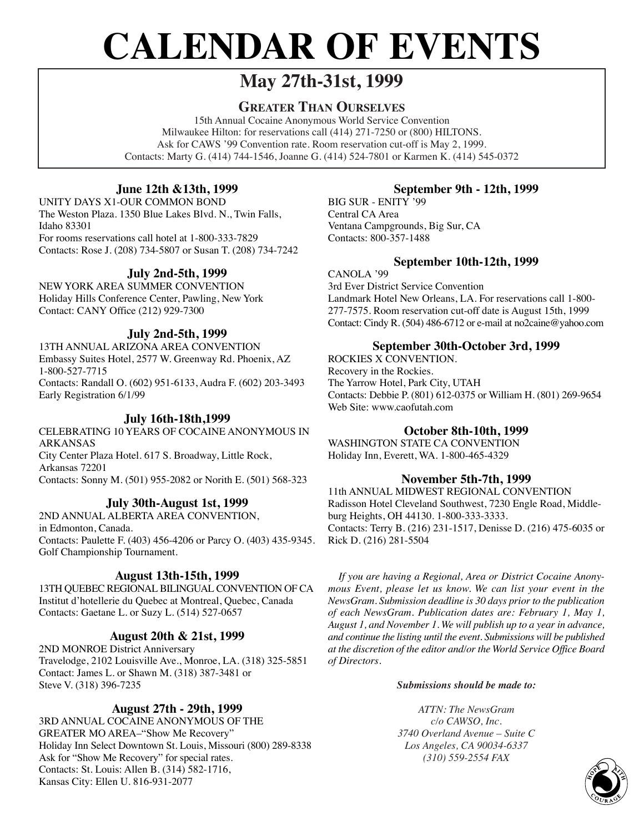# **CALENDAR OF EVENTS**

### **May 27th-31st, 1999**

### **GREATER THAN OURSELVES**

15th Annual Cocaine Anonymous World Service Convention Milwaukee Hilton: for reservations call (414) 271-7250 or (800) HILTONS. Ask for CAWS '99 Convention rate. Room reservation cut-off is May 2, 1999. Contacts: Marty G. (414) 744-1546, Joanne G. (414) 524-7801 or Karmen K. (414) 545-0372

### **June 12th &13th, 1999**

UNITY DAYS X1-OUR COMMON BOND The Weston Plaza. 1350 Blue Lakes Blvd. N., Twin Falls, Idaho 83301

For rooms reservations call hotel at 1-800-333-7829 Contacts: Rose J. (208) 734-5807 or Susan T. (208) 734-7242

### **July 2nd-5th, 1999**

NEW YORK AREA SUMMER CONVENTION Holiday Hills Conference Center, Pawling, New York Contact: CANY Office (212) 929-7300

### **July 2nd-5th, 1999**

13TH ANNUAL ARIZONA AREA CONVENTION Embassy Suites Hotel, 2577 W. Greenway Rd. Phoenix, AZ 1-800-527-7715 Contacts: Randall O. (602) 951-6133, Audra F. (602) 203-3493 Early Registration 6/1/99

### **July 16th-18th,1999**

CELEBRATING 10 YEARS OF COCAINE ANONYMOUS IN ARKANSAS City Center Plaza Hotel. 617 S. Broadway, Little Rock, Arkansas 72201

Contacts: Sonny M. (501) 955-2082 or Norith E. (501) 568-323

### **July 30th-August 1st, 1999**

2ND ANNUAL ALBERTA AREA CONVENTION, in Edmonton, Canada. Contacts: Paulette F. (403) 456-4206 or Parcy O. (403) 435-9345. Golf Championship Tournament.

### **August 13th-15th, 1999**

13TH QUEBEC REGIONAL BILINGUAL CONVENTION OF CA Institut d'hotellerie du Quebec at Montreal, Quebec, Canada Contacts: Gaetane L. or Suzy L. (514) 527-0657

### **August 20th & 21st, 1999**

2ND MONROE District Anniversary Travelodge, 2102 Louisville Ave., Monroe, LA. (318) 325-5851 Contact: James L. or Shawn M. (318) 387-3481 or Steve V. (318) 396-7235

### **August 27th - 29th, 1999**

3RD ANNUAL COCAINE ANONYMOUS OF THE GREATER MO AREA–"Show Me Recovery" Holiday Inn Select Downtown St. Louis, Missouri (800) 289-8338 Ask for "Show Me Recovery" for special rates. Contacts: St. Louis: Allen B. (314) 582-1716, Kansas City: Ellen U. 816-931-2077

### **September 9th - 12th, 1999**

BIG SUR - ENITY '99 Central CA Area Ventana Campgrounds, Big Sur, CA Contacts: 800-357-1488

### **September 10th-12th, 1999**

CANOLA '99 3rd Ever District Service Convention Landmark Hotel New Orleans, LA. For reservations call 1-800- 277-7575. Room reservation cut-off date is August 15th, 1999 Contact: Cindy R. (504) 486-6712 or e-mail at no2caine@yahoo.com

### **September 30th-October 3rd, 1999**

ROCKIES X CONVENTION. Recovery in the Rockies. The Yarrow Hotel, Park City, UTAH Contacts: Debbie P. (801) 612-0375 or William H. (801) 269-9654 Web Site: www.caofutah.com

### **October 8th-10th, 1999**

WASHINGTON STATE CA CONVENTION Holiday Inn, Everett, WA. 1-800-465-4329

### **November 5th-7th, 1999**

11th ANNUAL MIDWEST REGIONAL CONVENTION Radisson Hotel Cleveland Southwest, 7230 Engle Road, Middleburg Heights, OH 44130. 1-800-333-3333. Contacts: Terry B. (216) 231-1517, Denisse D. (216) 475-6035 or Rick D. (216) 281-5504

*If you are having a Regional, Area or District Cocaine Anonymous Event, please let us know. We can list your event in the NewsGram. Submission deadline is 30 days prior to the publication of each NewsGram. Publication dates are: February 1, May 1, August 1, and November 1. We will publish up to a year in advance, and continue the listing until the event. Submissions will be published at the discretion of the editor and/or the World Service Office Board of Directors.*

### *Submissions should be made to:*

*ATTN: The NewsGram c/o CAWSO, Inc. 3740 Overland Avenue – Suite C Los Angeles, CA 90034-6337 (310) 559-2554 FAX* 

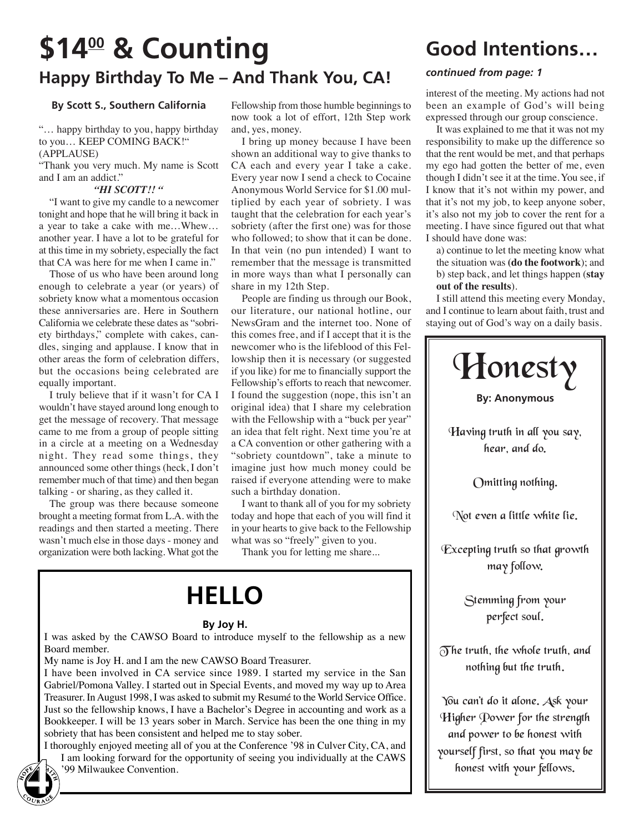# **\$14<sup>00</sup> & Counting** Good Intentions... **Happy Birthday To Me – And Thank You, CA!**

### **By Scott S., Southern California**

"… happy birthday to you, happy birthday to you… KEEP COMING BACK!" (APPLAUSE)

"Thank you very much. My name is Scott and I am an addict."

#### *"HI SCOTT!! "*

"I want to give my candle to a newcomer tonight and hope that he will bring it back in a year to take a cake with me…Whew… another year. I have a lot to be grateful for at this time in my sobriety, especially the fact that CA was here for me when I came in."

Those of us who have been around long enough to celebrate a year (or years) of sobriety know what a momentous occasion these anniversaries are. Here in Southern California we celebrate these dates as "sobriety birthdays," complete with cakes, candles, singing and applause. I know that in other areas the form of celebration differs, but the occasions being celebrated are equally important.

I truly believe that if it wasn't for CA I wouldn't have stayed around long enough to get the message of recovery. That message came to me from a group of people sitting in a circle at a meeting on a Wednesday night. They read some things, they announced some other things (heck, I don't remember much of that time) and then began talking - or sharing, as they called it.

The group was there because someone brought a meeting format from L.A. with the readings and then started a meeting. There wasn't much else in those days - money and organization were both lacking. What got the

Fellowship from those humble beginnings to now took a lot of effort, 12th Step work and, yes, money.

I bring up money because I have been shown an additional way to give thanks to CA each and every year I take a cake. Every year now I send a check to Cocaine Anonymous World Service for \$1.00 multiplied by each year of sobriety. I was taught that the celebration for each year's sobriety (after the first one) was for those who followed; to show that it can be done. In that vein (no pun intended) I want to remember that the message is transmitted in more ways than what I personally can share in my 12th Step.

People are finding us through our Book, our literature, our national hotline, our NewsGram and the internet too. None of this comes free, and if I accept that it is the newcomer who is the lifeblood of this Fellowship then it is necessary (or suggested if you like) for me to financially support the Fellowship's efforts to reach that newcomer. I found the suggestion (nope, this isn't an original idea) that I share my celebration with the Fellowship with a "buck per year" an idea that felt right. Next time you're at a CA convention or other gathering with a "sobriety countdown", take a minute to imagine just how much money could be raised if everyone attending were to make such a birthday donation.

I want to thank all of you for my sobriety today and hope that each of you will find it in your hearts to give back to the Fellowship what was so "freely" given to you.

Thank you for letting me share...

# **HELLO**

### **By Joy H.**

I was asked by the CAWSO Board to introduce myself to the fellowship as a new Board member.

My name is Joy H. and I am the new CAWSO Board Treasurer.

I have been involved in CA service since 1989. I started my service in the San Gabriel/Pomona Valley. I started out in Special Events, and moved my way up to Area Treasurer. In August 1998, I was asked to submit my Resumé to the World Service Office. Just so the fellowship knows, I have a Bachelor's Degree in accounting and work as a Bookkeeper. I will be 13 years sober in March. Service has been the one thing in my sobriety that has been consistent and helped me to stay sober.

I thoroughly enjoyed meeting all of you at the Conference '98 in Culver City, CA, and I am looking forward for the opportunity of seeing you individually at the CAWS '99 Milwaukee Convention. **4**

### *continued from page: 1*

interest of the meeting. My actions had not been an example of God's will being expressed through our group conscience.

It was explained to me that it was not my responsibility to make up the difference so that the rent would be met, and that perhaps my ego had gotten the better of me, even though I didn't see it at the time. You see, if I know that it's not within my power, and that it's not my job, to keep anyone sober, it's also not my job to cover the rent for a meeting. I have since figured out that what I should have done was:

a) continue to let the meeting know what the situation was **(do the footwork**); and b) step back, and let things happen (**stay out of the results**).

I still attend this meeting every Monday, and I continue to learn about faith, trust and staying out of God's way on a daily basis.



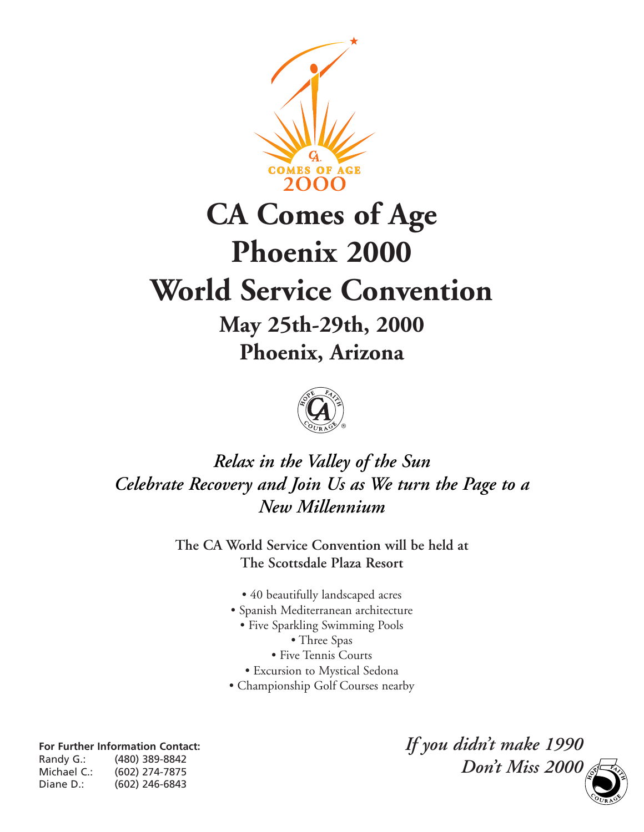

# **CA Comes of Age Phoenix 2000 World Service Convention May 25th-29th, 2000 Phoenix, Arizona**

### *Relax in the Valley of the Sun Celebrate Recovery and Join Us as We turn the Page to a New Millennium*

**The CA World Service Convention will be held at The Scottsdale Plaza Resort**

- 40 beautifully landscaped acres
- Spanish Mediterranean architecture
	- Five Sparkling Swimming Pools
		- Three Spas
		- Five Tennis Courts
	- Excursion to Mystical Sedona
- Championship Golf Courses nearby

**For Further Information Contact:** Randy G.: (480) 389-8842 Michael C.: (602) 274-7875 Diane D.: (602) 246-6843

*If you didn't make 1990 Don't Miss 2000* **5**

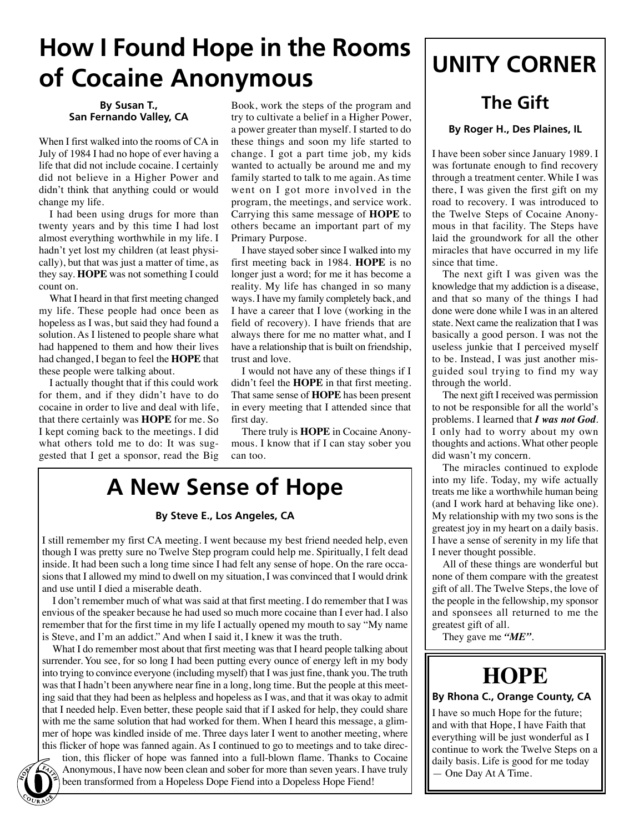# **How I Found Hope in the Rooms of Cocaine Anonymous**

#### **By Susan T., San Fernando Valley, CA**

When I first walked into the rooms of CA in July of 1984 I had no hope of ever having a life that did not include cocaine. I certainly did not believe in a Higher Power and didn't think that anything could or would change my life.

I had been using drugs for more than twenty years and by this time I had lost almost everything worthwhile in my life. I hadn't yet lost my children (at least physically), but that was just a matter of time, as they say. **HOPE** was not something I could count on.

What I heard in that first meeting changed my life. These people had once been as hopeless as I was, but said they had found a solution. As I listened to people share what had happened to them and how their lives had changed, I began to feel the **HOPE** that these people were talking about.

I actually thought that if this could work for them, and if they didn't have to do cocaine in order to live and deal with life, that there certainly was **HOPE** for me. So I kept coming back to the meetings. I did what others told me to do: It was suggested that I get a sponsor, read the Big

Book, work the steps of the program and try to cultivate a belief in a Higher Power, a power greater than myself. I started to do these things and soon my life started to change. I got a part time job, my kids wanted to actually be around me and my family started to talk to me again. As time went on I got more involved in the program, the meetings, and service work. Carrying this same message of **HOPE** to others became an important part of my Primary Purpose.

I have stayed sober since I walked into my first meeting back in 1984. **HOPE** is no longer just a word; for me it has become a reality. My life has changed in so many ways. I have my family completely back, and I have a career that I love (working in the field of recovery). I have friends that are always there for me no matter what, and I have a relationship that is built on friendship, trust and love.

I would not have any of these things if I didn't feel the **HOPE** in that first meeting. That same sense of **HOPE** has been present in every meeting that I attended since that first day.

There truly is **HOPE** in Cocaine Anonymous. I know that if I can stay sober you can too.

## **A New Sense of Hope**

### **By Steve E., Los Angeles, CA**

I still remember my first CA meeting. I went because my best friend needed help, even though I was pretty sure no Twelve Step program could help me. Spiritually, I felt dead inside. It had been such a long time since I had felt any sense of hope. On the rare occasions that I allowed my mind to dwell on my situation, I was convinced that I would drink and use until I died a miserable death.

I don't remember much of what was said at that first meeting. I do remember that I was envious of the speaker because he had used so much more cocaine than I ever had. I also remember that for the first time in my life I actually opened my mouth to say "My name is Steve, and I'm an addict." And when I said it, I knew it was the truth.

What I do remember most about that first meeting was that I heard people talking about surrender. You see, for so long I had been putting every ounce of energy left in my body into trying to convince everyone (including myself) that I was just fine, thank you. The truth was that I hadn't been anywhere near fine in a long, long time. But the people at this meeting said that they had been as helpless and hopeless as I was, and that it was okay to admit that I needed help. Even better, these people said that if I asked for help, they could share with me the same solution that had worked for them. When I heard this message, a glimmer of hope was kindled inside of me. Three days later I went to another meeting, where this flicker of hope was fanned again. As I continued to go to meetings and to take direc-

tion, this flicker of hope was fanned into a full-blown flame. Thanks to Cocaine Anonymous, I have now been clean and sober for more than seven years. I have truly been transformed from a Hopeless Dope Fiend into a Dopeless Hope Fiend!

## **UNITY CORNER**

### **The Gift**

### **By Roger H., Des Plaines, IL**

I have been sober since January 1989. I was fortunate enough to find recovery through a treatment center. While I was there, I was given the first gift on my road to recovery. I was introduced to the Twelve Steps of Cocaine Anonymous in that facility. The Steps have laid the groundwork for all the other miracles that have occurred in my life since that time.

The next gift I was given was the knowledge that my addiction is a disease, and that so many of the things I had done were done while I was in an altered state. Next came the realization that I was basically a good person. I was not the useless junkie that I perceived myself to be. Instead, I was just another misguided soul trying to find my way through the world.

The next gift I received was permission to not be responsible for all the world's problems. I learned that *I was not God*. I only had to worry about my own thoughts and actions. What other people did wasn't my concern.

The miracles continued to explode into my life. Today, my wife actually treats me like a worthwhile human being (and I work hard at behaving like one). My relationship with my two sons is the greatest joy in my heart on a daily basis. I have a sense of serenity in my life that I never thought possible.

All of these things are wonderful but none of them compare with the greatest gift of all. The Twelve Steps, the love of the people in the fellowship, my sponsor and sponsees all returned to me the greatest gift of all.

They gave me *"ME"*.

### **HOPE**

### **By Rhona C., Orange County, CA**

I have so much Hope for the future; and with that Hope, I have Faith that everything will be just wonderful as I continue to work the Twelve Steps on a daily basis. Life is good for me today — One Day At A Time.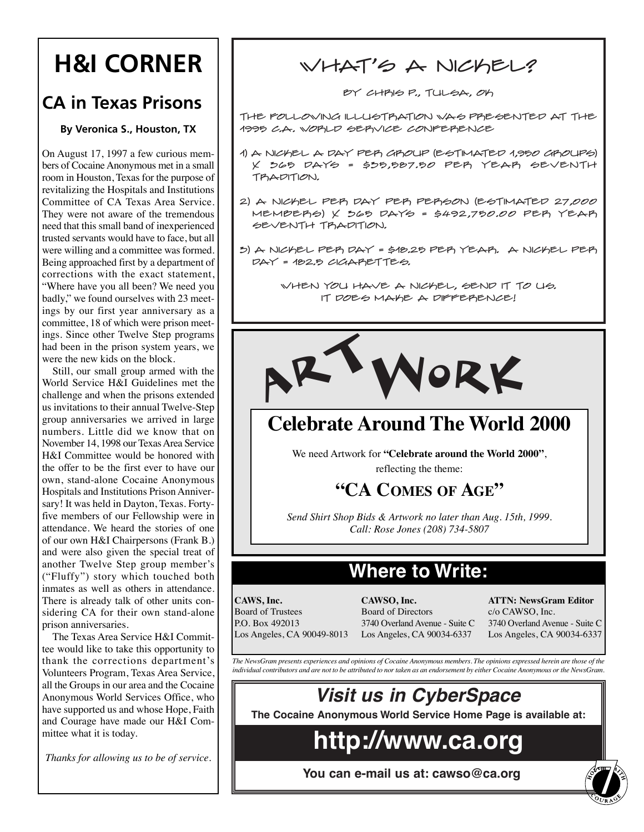# **H&I CORNER**

### **CA in Texas Prisons**

### **By Veronica S., Houston, TX**

On August 17, 1997 a few curious members of Cocaine Anonymous met in a small room in Houston, Texas for the purpose of revitalizing the Hospitals and Institutions Committee of CA Texas Area Service. They were not aware of the tremendous need that this small band of inexperienced trusted servants would have to face, but all were willing and a committee was formed. Being approached first by a department of corrections with the exact statement, "Where have you all been? We need you badly," we found ourselves with 23 meetings by our first year anniversary as a committee, 18 of which were prison meetings. Since other Twelve Step programs had been in the prison system years, we were the new kids on the block.

Still, our small group armed with the World Service H&I Guidelines met the challenge and when the prisons extended us invitations to their annual Twelve-Step group anniversaries we arrived in large numbers. Little did we know that on November 14, 1998 our Texas Area Service H&I Committee would be honored with the offer to be the first ever to have our own, stand-alone Cocaine Anonymous Hospitals and Institutions Prison Anniversary! It was held in Dayton, Texas. Fortyfive members of our Fellowship were in attendance. We heard the stories of one of our own H&I Chairpersons (Frank B.) and were also given the special treat of another Twelve Step group member's ("Fluffy") story which touched both inmates as well as others in attendance. There is already talk of other units considering CA for their own stand-alone prison anniversaries.

The Texas Area Service H&I Committee would like to take this opportunity to thank the corrections department's Volunteers Program, Texas Area Service, all the Groups in our area and the Cocaine Anonymous World Services Office, who have supported us and whose Hope, Faith and Courage have made our H&I Committee what it is today.

### WHAT'S A NICKEL?

By Chris P., Tulsa, OK

The following illustration was presented at the 1995 C.A. World Service Conference

- 1) A nickel a day per group (estimated 1,950 groups)  $X$   $565$   $DAY6 = $55,587.50$   $PEP$   $YEAP$   $6EVENTH$ TRADITION.
- 2) A NICKEL PER DAY PER PERSON (ESTIMATED 27,000 MEMBERS) X 565 DAYS = \$492,750.00 PER YEAR SEVENTH TRADITION.
- $5)$  A NICKEL PER DAY = \$18.25 PER YEAR. A NICKEL PER  $PAY = 182.5$   $CIGAPETTE6$ .

When you have a nickel, send it to us. It does make a difference!



### **Celebrate Around The World 2000**

We need Artwork for **"Celebrate around the World 2000"**, reflecting the theme:

### **"CA COMES OF AGE"**

*Send Shirt Shop Bids & Artwork no later than Aug. 15th, 1999. Call: Rose Jones (208) 734-5807*

### **Where to Write:**

**CAWS, Inc.** Board of Trustees P.O. Box 492013 Los Angeles, CA 90049-8013

**CAWSO, Inc.** Board of Directors 3740 Overland Avenue - Suite C Los Angeles, CA 90034-6337

**ATTN: NewsGram Editor** c/o CAWSO, Inc. 3740 Overland Avenue - Suite C Los Angeles, CA 90034-6337

*The NewsGram presents experiences and opinions of Cocaine Anonymous members. The opinions expressed herein are those of the individual contributors and are not to be attributed to nor taken as an endorsement by either Cocaine Anonymous or the NewsGram.*



## **http://www.ca.org**

**You can e-mail us at: cawso@ca.org** *Thanks for allowing us to be of service.* **7**<br>**7** *You can e-mail us at: cawso@ca.org*